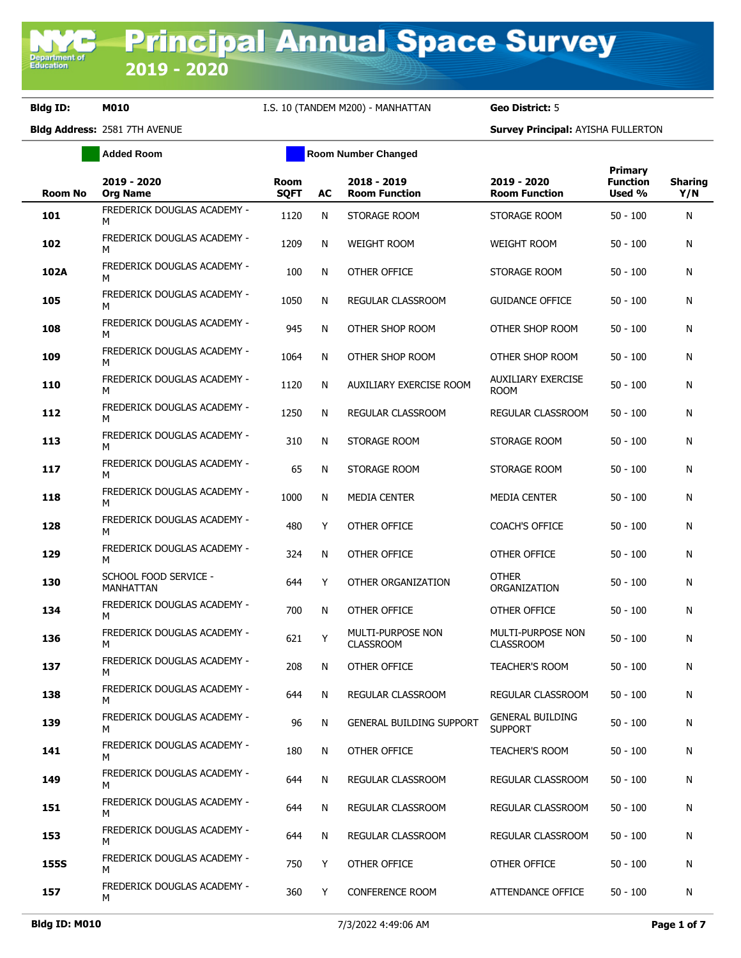Department of<br>Education

### **Bldg ID: M010** I.S. 10 (TANDEM M200) - MANHATTAN **Geo District:** 5

|                | <b>Added Room</b>                       |                            |    | <b>Room Number Changed</b>            |                                           |                                      |                       |
|----------------|-----------------------------------------|----------------------------|----|---------------------------------------|-------------------------------------------|--------------------------------------|-----------------------|
| <b>Room No</b> | 2019 - 2020<br><b>Org Name</b>          | <b>Room</b><br><b>SQFT</b> | AC | 2018 - 2019<br><b>Room Function</b>   | 2019 - 2020<br><b>Room Function</b>       | Primary<br><b>Function</b><br>Used % | <b>Sharing</b><br>Y/N |
| 101            | FREDERICK DOUGLAS ACADEMY -<br>м        | 1120                       | N  | STORAGE ROOM                          | STORAGE ROOM                              | $50 - 100$                           | N                     |
| 102            | FREDERICK DOUGLAS ACADEMY -<br>м        | 1209                       | N  | <b>WEIGHT ROOM</b>                    | <b>WEIGHT ROOM</b>                        | 50 - 100                             | N                     |
| 102A           | FREDERICK DOUGLAS ACADEMY -<br>м        | 100                        | N  | OTHER OFFICE                          | STORAGE ROOM                              | 50 - 100                             | N                     |
| 105            | <b>FREDERICK DOUGLAS ACADEMY -</b><br>м | 1050                       | N  | <b>REGULAR CLASSROOM</b>              | <b>GUIDANCE OFFICE</b>                    | 50 - 100                             | N                     |
| 108            | FREDERICK DOUGLAS ACADEMY -<br>м        | 945                        | N  | OTHER SHOP ROOM                       | OTHER SHOP ROOM                           | 50 - 100                             | N                     |
| 109            | FREDERICK DOUGLAS ACADEMY -<br>м        | 1064                       | N  | OTHER SHOP ROOM                       | OTHER SHOP ROOM                           | $50 - 100$                           | N                     |
| 110            | FREDERICK DOUGLAS ACADEMY -<br>м        | 1120                       | N  | AUXILIARY EXERCISE ROOM               | <b>AUXILIARY EXERCISE</b><br><b>ROOM</b>  | 50 - 100                             | N                     |
| 112            | FREDERICK DOUGLAS ACADEMY -<br>м        | 1250                       | N  | REGULAR CLASSROOM                     | REGULAR CLASSROOM                         | 50 - 100                             | N                     |
| 113            | FREDERICK DOUGLAS ACADEMY -<br>м        | 310                        | N  | STORAGE ROOM                          | STORAGE ROOM                              | 50 - 100                             | N                     |
| 117            | FREDERICK DOUGLAS ACADEMY -<br>м        | 65                         | N  | STORAGE ROOM                          | STORAGE ROOM                              | 50 - 100                             | N                     |
| 118            | FREDERICK DOUGLAS ACADEMY -<br>м        | 1000                       | N  | <b>MEDIA CENTER</b>                   | <b>MEDIA CENTER</b>                       | 50 - 100                             | N                     |
| 128            | FREDERICK DOUGLAS ACADEMY -<br>м        | 480                        | Y  | OTHER OFFICE                          | <b>COACH'S OFFICE</b>                     | 50 - 100                             | N                     |
| 129            | FREDERICK DOUGLAS ACADEMY -<br>м        | 324                        | N  | OTHER OFFICE                          | <b>OTHER OFFICE</b>                       | 50 - 100                             | N                     |
| 130            | SCHOOL FOOD SERVICE -<br>MANHATTAN      | 644                        | Y  | OTHER ORGANIZATION                    | <b>OTHER</b><br>ORGANIZATION              | 50 - 100                             | N                     |
| 134            | FREDERICK DOUGLAS ACADEMY -<br>м        | 700                        | N  | OTHER OFFICE                          | OTHER OFFICE                              | 50 - 100                             | N                     |
| 136            | FREDERICK DOUGLAS ACADEMY -<br>м        | 621                        | Υ  | MULTI-PURPOSE NON<br><b>CLASSROOM</b> | MULTI-PURPOSE NON<br><b>CLASSROOM</b>     | 50 - 100                             | N                     |
| 137            | FREDERICK DOUGLAS ACADEMY -<br>м        | 208                        | N  | OTHER OFFICE                          | <b>TEACHER'S ROOM</b>                     | $50 - 100$                           | N                     |
| 138            | FREDERICK DOUGLAS ACADEMY -<br>м        | 644                        | N  | REGULAR CLASSROOM                     | REGULAR CLASSROOM                         | $50 - 100$                           | N                     |
| 139            | FREDERICK DOUGLAS ACADEMY -<br>м        | 96                         | N  | <b>GENERAL BUILDING SUPPORT</b>       | <b>GENERAL BUILDING</b><br><b>SUPPORT</b> | $50 - 100$                           | N                     |
| 141            | FREDERICK DOUGLAS ACADEMY -<br>м        | 180                        | N  | OTHER OFFICE                          | <b>TEACHER'S ROOM</b>                     | 50 - 100                             | N                     |
| 149            | FREDERICK DOUGLAS ACADEMY -<br>м        | 644                        | N  | REGULAR CLASSROOM                     | REGULAR CLASSROOM                         | 50 - 100                             | N                     |
| 151            | FREDERICK DOUGLAS ACADEMY -<br>м        | 644                        | N  | REGULAR CLASSROOM                     | REGULAR CLASSROOM                         | $50 - 100$                           | N                     |
| 153            | FREDERICK DOUGLAS ACADEMY -<br>м        | 644                        | N  | REGULAR CLASSROOM                     | REGULAR CLASSROOM                         | $50 - 100$                           | N                     |
| 155S           | FREDERICK DOUGLAS ACADEMY -<br>м        | 750                        | Υ  | OTHER OFFICE                          | OTHER OFFICE                              | 50 - 100                             | N                     |
| 157            | FREDERICK DOUGLAS ACADEMY -<br>м        | 360                        | Y  | <b>CONFERENCE ROOM</b>                | ATTENDANCE OFFICE                         | $50 - 100$                           | N                     |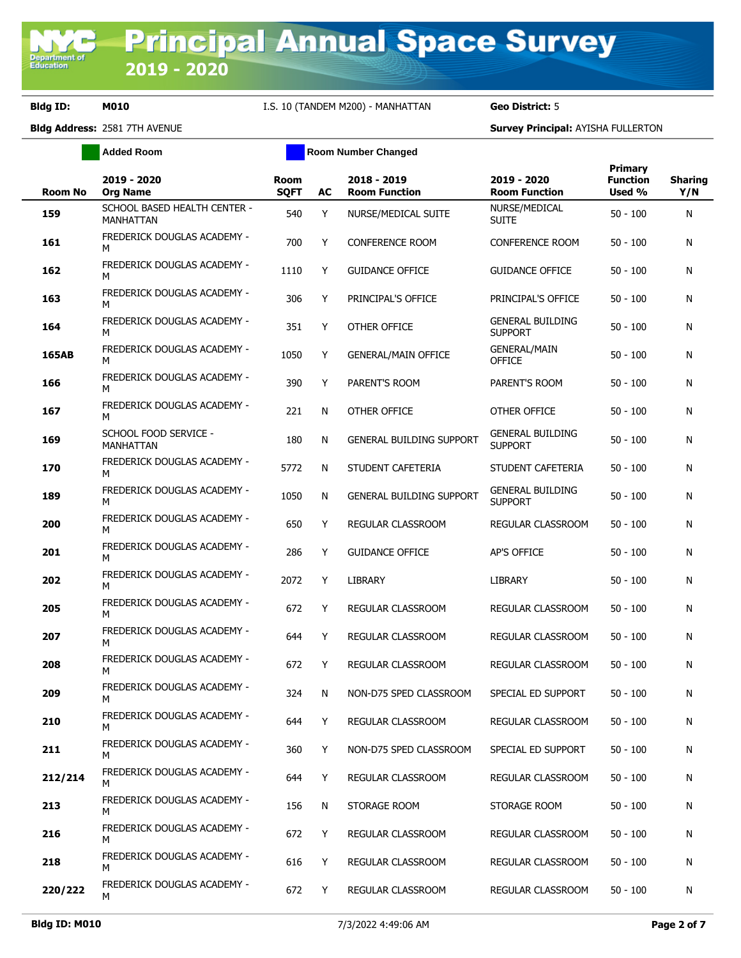**Added Room Room Room Number Changed** 

| <b>Room No</b> | 2019 - 2020<br><b>Org Name</b>                   | <b>Room</b><br><b>SQFT</b> | <b>AC</b> | 2018 - 2019<br><b>Room Function</b> | 2019 - 2020<br><b>Room Function</b>       | Primary<br><b>Function</b><br>Used % | <b>Sharing</b><br>Y/N |
|----------------|--------------------------------------------------|----------------------------|-----------|-------------------------------------|-------------------------------------------|--------------------------------------|-----------------------|
| 159            | SCHOOL BASED HEALTH CENTER -<br><b>MANHATTAN</b> | 540                        | Y         | NURSE/MEDICAL SUITE                 | NURSE/MEDICAL<br><b>SUITE</b>             | $50 - 100$                           | N                     |
| 161            | <b>FREDERICK DOUGLAS ACADEMY -</b><br>M          | 700                        | Y         | <b>CONFERENCE ROOM</b>              | <b>CONFERENCE ROOM</b>                    | $50 - 100$                           | N                     |
| 162            | FREDERICK DOUGLAS ACADEMY -<br>M                 | 1110                       | Y         | <b>GUIDANCE OFFICE</b>              | <b>GUIDANCE OFFICE</b>                    | $50 - 100$                           | N                     |
| 163            | FREDERICK DOUGLAS ACADEMY -<br>M                 | 306                        | Y         | PRINCIPAL'S OFFICE                  | PRINCIPAL'S OFFICE                        | $50 - 100$                           | N                     |
| 164            | FREDERICK DOUGLAS ACADEMY -<br>м                 | 351                        | Y         | OTHER OFFICE                        | <b>GENERAL BUILDING</b><br><b>SUPPORT</b> | $50 - 100$                           | N                     |
| 165AB          | FREDERICK DOUGLAS ACADEMY -<br>м                 | 1050                       | Y         | <b>GENERAL/MAIN OFFICE</b>          | <b>GENERAL/MAIN</b><br><b>OFFICE</b>      | 50 - 100                             | N                     |
| 166            | FREDERICK DOUGLAS ACADEMY -<br>М                 | 390                        | Υ         | PARENT'S ROOM                       | PARENT'S ROOM                             | 50 - 100                             | N                     |
| 167            | <b>FREDERICK DOUGLAS ACADEMY -</b><br>м          | 221                        | N         | OTHER OFFICE                        | OTHER OFFICE                              | 50 - 100                             | N                     |
| 169            | SCHOOL FOOD SERVICE -<br>MANHATTAN               | 180                        | N         | <b>GENERAL BUILDING SUPPORT</b>     | <b>GENERAL BUILDING</b><br><b>SUPPORT</b> | 50 - 100                             | N                     |
| 170            | FREDERICK DOUGLAS ACADEMY -<br>м                 | 5772                       | N         | STUDENT CAFETERIA                   | STUDENT CAFETERIA                         | $50 - 100$                           | N                     |
| 189            | FREDERICK DOUGLAS ACADEMY -<br>м                 | 1050                       | N         | <b>GENERAL BUILDING SUPPORT</b>     | <b>GENERAL BUILDING</b><br><b>SUPPORT</b> | 50 - 100                             | N                     |
| 200            | FREDERICK DOUGLAS ACADEMY -<br>м                 | 650                        | Y         | REGULAR CLASSROOM                   | REGULAR CLASSROOM                         | $50 - 100$                           | N                     |
| 201            | FREDERICK DOUGLAS ACADEMY -<br>м                 | 286                        | Y         | <b>GUIDANCE OFFICE</b>              | <b>AP'S OFFICE</b>                        | $50 - 100$                           | N                     |
| 202            | FREDERICK DOUGLAS ACADEMY -<br>м                 | 2072                       | Y         | LIBRARY                             | <b>LIBRARY</b>                            | $50 - 100$                           | N                     |
| 205            | FREDERICK DOUGLAS ACADEMY -<br>м                 | 672                        | Υ         | REGULAR CLASSROOM                   | REGULAR CLASSROOM                         | $50 - 100$                           | N                     |
| 207            | <b>FREDERICK DOUGLAS ACADEMY -</b><br>м          | 644                        | Υ         | REGULAR CLASSROOM                   | REGULAR CLASSROOM                         | 50 - 100                             | N                     |
| 208            | <b>FREDERICK DOUGLAS ACADEMY -</b><br>M          | 672                        | Y         | <b>REGULAR CLASSROOM</b>            | REGULAR CLASSROOM                         | $50 - 100$                           | N                     |
| 209            | FREDERICK DOUGLAS ACADEMY -<br>M                 | 324                        | N         | NON-D75 SPED CLASSROOM              | SPECIAL ED SUPPORT                        | $50 - 100$                           | N                     |
| 210            | FREDERICK DOUGLAS ACADEMY -<br>м                 | 644                        | Υ         | REGULAR CLASSROOM                   | REGULAR CLASSROOM                         | $50 - 100$                           | Ν                     |
| 211            | FREDERICK DOUGLAS ACADEMY -<br>M                 | 360                        | Y         | NON-D75 SPED CLASSROOM              | SPECIAL ED SUPPORT                        | $50 - 100$                           | N                     |
| 212/214        | FREDERICK DOUGLAS ACADEMY -<br>M                 | 644                        | Y         | REGULAR CLASSROOM                   | REGULAR CLASSROOM                         | $50 - 100$                           | N                     |
| 213            | FREDERICK DOUGLAS ACADEMY -<br>M                 | 156                        | Ν         | STORAGE ROOM                        | STORAGE ROOM                              | $50 - 100$                           | N                     |
| 216            | FREDERICK DOUGLAS ACADEMY -<br>м                 | 672                        | Y         | REGULAR CLASSROOM                   | REGULAR CLASSROOM                         | $50 - 100$                           | N                     |
| 218            | FREDERICK DOUGLAS ACADEMY -<br>м                 | 616                        | Y         | REGULAR CLASSROOM                   | REGULAR CLASSROOM                         | 50 - 100                             | N                     |
| 220/222        | FREDERICK DOUGLAS ACADEMY -<br>M                 | 672                        | Y         | REGULAR CLASSROOM                   | REGULAR CLASSROOM                         | $50 - 100$                           | N                     |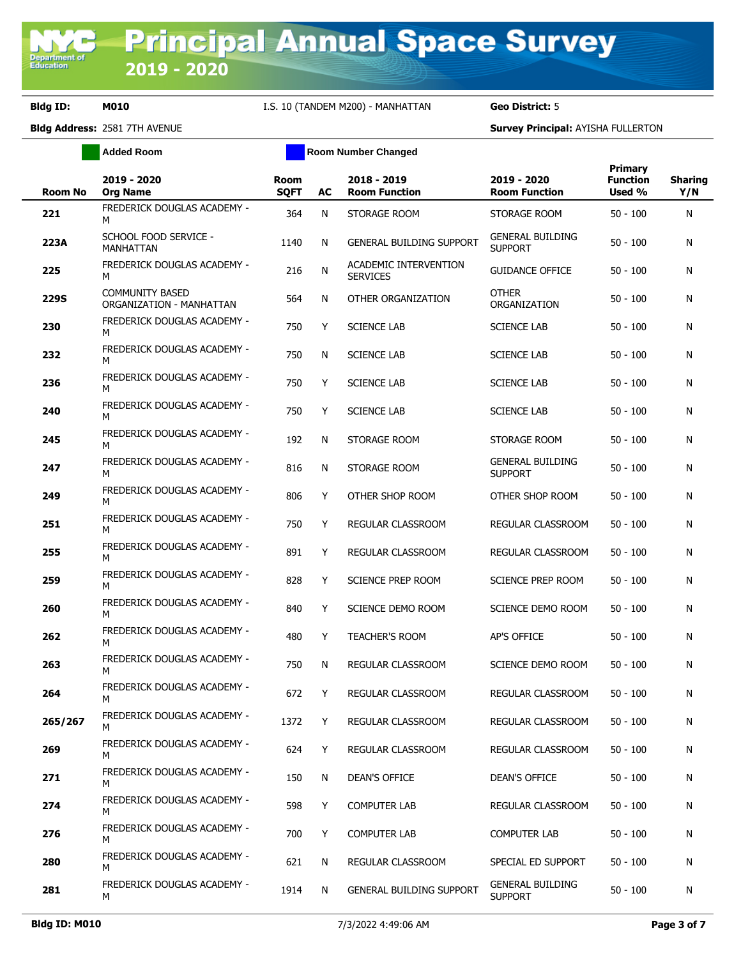**Added Room Room Room Number Changed** 

| <b>Room No</b> | 2019 - 2020<br><b>Org Name</b>                     | <b>Room</b><br><b>SQFT</b> | AC | 2018 - 2019<br><b>Room Function</b>      | 2019 - 2020<br><b>Room Function</b>       | Primary<br><b>Function</b><br>Used % | <b>Sharing</b><br>Y/N |
|----------------|----------------------------------------------------|----------------------------|----|------------------------------------------|-------------------------------------------|--------------------------------------|-----------------------|
| 221            | FREDERICK DOUGLAS ACADEMY -<br>M                   | 364                        | N  | STORAGE ROOM                             | STORAGE ROOM                              | $50 - 100$                           | N                     |
| 223A           | SCHOOL FOOD SERVICE -<br>MANHATTAN                 | 1140                       | N  | <b>GENERAL BUILDING SUPPORT</b>          | <b>GENERAL BUILDING</b><br><b>SUPPORT</b> | $50 - 100$                           | N                     |
| 225            | FREDERICK DOUGLAS ACADEMY -<br>M                   | 216                        | N  | ACADEMIC INTERVENTION<br><b>SERVICES</b> | <b>GUIDANCE OFFICE</b>                    | $50 - 100$                           | N                     |
| <b>229S</b>    | <b>COMMUNITY BASED</b><br>ORGANIZATION - MANHATTAN | 564                        | N  | OTHER ORGANIZATION                       | <b>OTHER</b><br>ORGANIZATION              | $50 - 100$                           | N                     |
| 230            | FREDERICK DOUGLAS ACADEMY -<br>M                   | 750                        | Y  | <b>SCIENCE LAB</b>                       | <b>SCIENCE LAB</b>                        | $50 - 100$                           | Ν                     |
| 232            | FREDERICK DOUGLAS ACADEMY -<br>м                   | 750                        | N  | <b>SCIENCE LAB</b>                       | <b>SCIENCE LAB</b>                        | $50 - 100$                           | N                     |
| 236            | FREDERICK DOUGLAS ACADEMY -<br>М                   | 750                        | Y  | <b>SCIENCE LAB</b>                       | <b>SCIENCE LAB</b>                        | $50 - 100$                           | Ν                     |
| 240            | FREDERICK DOUGLAS ACADEMY -<br>м                   | 750                        | Y  | <b>SCIENCE LAB</b>                       | <b>SCIENCE LAB</b>                        | $50 - 100$                           | N                     |
| 245            | FREDERICK DOUGLAS ACADEMY -<br>м                   | 192                        | N  | STORAGE ROOM                             | STORAGE ROOM                              | $50 - 100$                           | N                     |
| 247            | FREDERICK DOUGLAS ACADEMY -<br>м                   | 816                        | N  | STORAGE ROOM                             | <b>GENERAL BUILDING</b><br><b>SUPPORT</b> | $50 - 100$                           | N                     |
| 249            | FREDERICK DOUGLAS ACADEMY -<br>м                   | 806                        | Y  | OTHER SHOP ROOM                          | OTHER SHOP ROOM                           | $50 - 100$                           | N                     |
| 251            | FREDERICK DOUGLAS ACADEMY -<br>м                   | 750                        | Y  | REGULAR CLASSROOM                        | REGULAR CLASSROOM                         | $50 - 100$                           | N                     |
| 255            | FREDERICK DOUGLAS ACADEMY -<br>м                   | 891                        | Y  | REGULAR CLASSROOM                        | REGULAR CLASSROOM                         | $50 - 100$                           | Ν                     |
| 259            | FREDERICK DOUGLAS ACADEMY -<br>м                   | 828                        | Y  | SCIENCE PREP ROOM                        | SCIENCE PREP ROOM                         | $50 - 100$                           | N                     |
| 260            | FREDERICK DOUGLAS ACADEMY -<br>м                   | 840                        | Y  | SCIENCE DEMO ROOM                        | SCIENCE DEMO ROOM                         | $50 - 100$                           | N                     |
| 262            | FREDERICK DOUGLAS ACADEMY -<br>м                   | 480                        | Y  | <b>TEACHER'S ROOM</b>                    | <b>AP'S OFFICE</b>                        | $50 - 100$                           | Ν                     |
| 263            | FREDERICK DOUGLAS ACADEMY -<br>м                   | 750                        | N  | REGULAR CLASSROOM                        | SCIENCE DEMO ROOM                         | $50 - 100$                           | Ν                     |
| 264            | FREDERICK DOUGLAS ACADEMY -<br>M                   | 672                        | Y  | REGULAR CLASSROOM                        | REGULAR CLASSROOM                         | $50 - 100$                           | Ν                     |
| 265/267        | FREDERICK DOUGLAS ACADEMY -<br>м                   | 1372                       | Y  | <b>REGULAR CLASSROOM</b>                 | REGULAR CLASSROOM                         | $50 - 100$                           | Ν                     |
| 269            | FREDERICK DOUGLAS ACADEMY -<br>M                   | 624                        | Y  | REGULAR CLASSROOM                        | REGULAR CLASSROOM                         | $50 - 100$                           | Ν                     |
| 271            | FREDERICK DOUGLAS ACADEMY -<br>M                   | 150                        | N  | DEAN'S OFFICE                            | DEAN'S OFFICE                             | $50 - 100$                           | Ν                     |
| 274            | FREDERICK DOUGLAS ACADEMY -<br>M                   | 598                        | Y  | <b>COMPUTER LAB</b>                      | REGULAR CLASSROOM                         | $50 - 100$                           | Ν                     |
| 276            | FREDERICK DOUGLAS ACADEMY -<br>M                   | 700                        | Y  | <b>COMPUTER LAB</b>                      | <b>COMPUTER LAB</b>                       | $50 - 100$                           | Ν                     |
| 280            | FREDERICK DOUGLAS ACADEMY -<br>м                   | 621                        | N  | REGULAR CLASSROOM                        | SPECIAL ED SUPPORT                        | $50 - 100$                           | Ν                     |
| 281            | <b>FREDERICK DOUGLAS ACADEMY -</b><br>м            | 1914                       | N  | GENERAL BUILDING SUPPORT                 | <b>GENERAL BUILDING</b><br><b>SUPPORT</b> | $50 - 100$                           | N                     |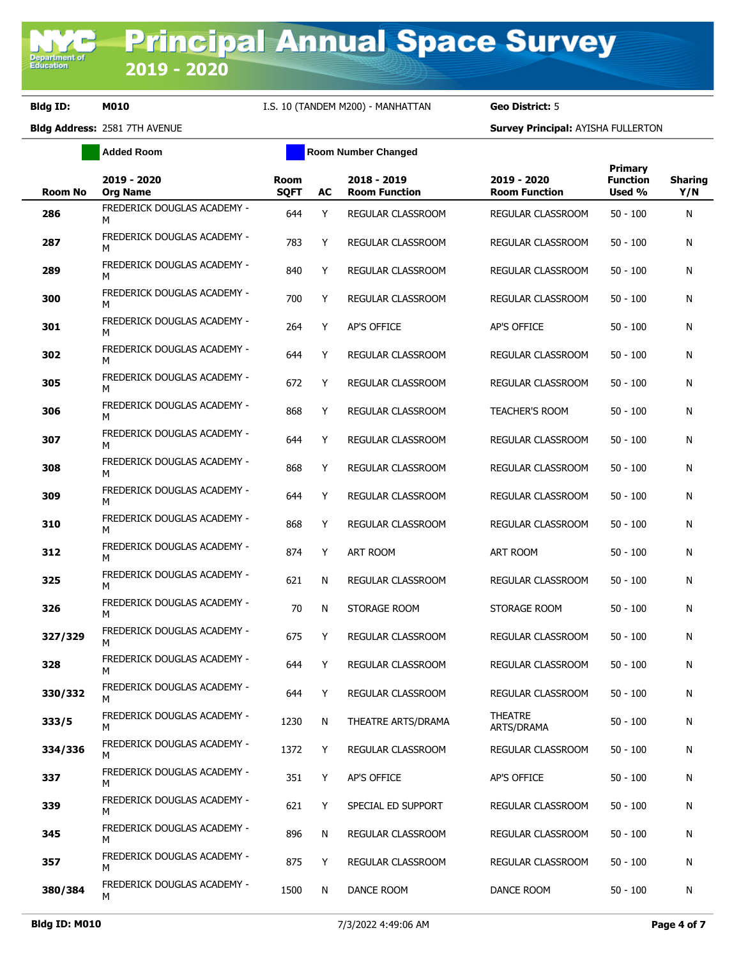**Added Room Room Room Number Changed** 

| Room No | 2019 - 2020<br><b>Org Name</b>   | <b>Room</b><br><b>SQFT</b> | AC | 2018 - 2019<br><b>Room Function</b> | 2019 - 2020<br><b>Room Function</b> | <b>Primary</b><br><b>Function</b><br>Used % | <b>Sharing</b><br>Y/N |
|---------|----------------------------------|----------------------------|----|-------------------------------------|-------------------------------------|---------------------------------------------|-----------------------|
| 286     | FREDERICK DOUGLAS ACADEMY -<br>M | 644                        | Y  | REGULAR CLASSROOM                   | REGULAR CLASSROOM                   | $50 - 100$                                  | N                     |
| 287     | FREDERICK DOUGLAS ACADEMY -<br>M | 783                        | Y  | REGULAR CLASSROOM                   | REGULAR CLASSROOM                   | $50 - 100$                                  | N                     |
| 289     | FREDERICK DOUGLAS ACADEMY -<br>M | 840                        | Y  | REGULAR CLASSROOM                   | REGULAR CLASSROOM                   | $50 - 100$                                  | N                     |
| 300     | FREDERICK DOUGLAS ACADEMY -<br>M | 700                        | Y  | REGULAR CLASSROOM                   | REGULAR CLASSROOM                   | 50 - 100                                    | N                     |
| 301     | FREDERICK DOUGLAS ACADEMY -<br>M | 264                        | Y  | AP'S OFFICE                         | AP'S OFFICE                         | $50 - 100$                                  | N                     |
| 302     | FREDERICK DOUGLAS ACADEMY -<br>м | 644                        | Y  | REGULAR CLASSROOM                   | REGULAR CLASSROOM                   | 50 - 100                                    | N                     |
| 305     | FREDERICK DOUGLAS ACADEMY -<br>м | 672                        | Y  | REGULAR CLASSROOM                   | REGULAR CLASSROOM                   | $50 - 100$                                  | N                     |
| 306     | FREDERICK DOUGLAS ACADEMY -<br>M | 868                        | Y  | REGULAR CLASSROOM                   | TEACHER'S ROOM                      | $50 - 100$                                  | N                     |
| 307     | FREDERICK DOUGLAS ACADEMY -<br>м | 644                        | Y  | REGULAR CLASSROOM                   | REGULAR CLASSROOM                   | $50 - 100$                                  | N                     |
| 308     | FREDERICK DOUGLAS ACADEMY -<br>м | 868                        | Y  | REGULAR CLASSROOM                   | REGULAR CLASSROOM                   | $50 - 100$                                  | N                     |
| 309     | FREDERICK DOUGLAS ACADEMY -<br>м | 644                        | Y  | REGULAR CLASSROOM                   | <b>REGULAR CLASSROOM</b>            | $50 - 100$                                  | N                     |
| 310     | FREDERICK DOUGLAS ACADEMY -<br>м | 868                        | Y  | REGULAR CLASSROOM                   | REGULAR CLASSROOM                   | $50 - 100$                                  | N                     |
| 312     | FREDERICK DOUGLAS ACADEMY -<br>м | 874                        | Υ  | <b>ART ROOM</b>                     | ART ROOM                            | $50 - 100$                                  | N                     |
| 325     | FREDERICK DOUGLAS ACADEMY -<br>м | 621                        | N  | REGULAR CLASSROOM                   | REGULAR CLASSROOM                   | $50 - 100$                                  | N                     |
| 326     | FREDERICK DOUGLAS ACADEMY -<br>м | 70                         | N  | STORAGE ROOM                        | STORAGE ROOM                        | $50 - 100$                                  | N                     |
| 327/329 | FREDERICK DOUGLAS ACADEMY -<br>M | 675                        | Y  | REGULAR CLASSROOM                   | REGULAR CLASSROOM                   | $50 - 100$                                  | N                     |
| 328     | FREDERICK DOUGLAS ACADEMY -<br>м | 644                        | Y  | REGULAR CLASSROOM                   | REGULAR CLASSROOM                   | $50 - 100$                                  | N                     |
| 330/332 | FREDERICK DOUGLAS ACADEMY -<br>M | 644                        | Y  | <b>REGULAR CLASSROOM</b>            | REGULAR CLASSROOM                   | $50 - 100$                                  | N                     |
| 333/5   | FREDERICK DOUGLAS ACADEMY -<br>м | 1230                       | N  | THEATRE ARTS/DRAMA                  | <b>THEATRE</b><br>ARTS/DRAMA        | $50 - 100$                                  | N                     |
| 334/336 | FREDERICK DOUGLAS ACADEMY -<br>м | 1372                       | Y  | REGULAR CLASSROOM                   | REGULAR CLASSROOM                   | $50 - 100$                                  | N                     |
| 337     | FREDERICK DOUGLAS ACADEMY -<br>M | 351                        | Y  | AP'S OFFICE                         | AP'S OFFICE                         | $50 - 100$                                  | N                     |
| 339     | FREDERICK DOUGLAS ACADEMY -<br>M | 621                        | Y  | SPECIAL ED SUPPORT                  | REGULAR CLASSROOM                   | $50 - 100$                                  | N                     |
| 345     | FREDERICK DOUGLAS ACADEMY -<br>M | 896                        | N  | REGULAR CLASSROOM                   | REGULAR CLASSROOM                   | $50 - 100$                                  | N                     |
| 357     | FREDERICK DOUGLAS ACADEMY -<br>M | 875                        | Y  | REGULAR CLASSROOM                   | REGULAR CLASSROOM                   | $50 - 100$                                  | N                     |
| 380/384 | FREDERICK DOUGLAS ACADEMY -<br>м | 1500                       | N  | DANCE ROOM                          | DANCE ROOM                          | $50 - 100$                                  | N                     |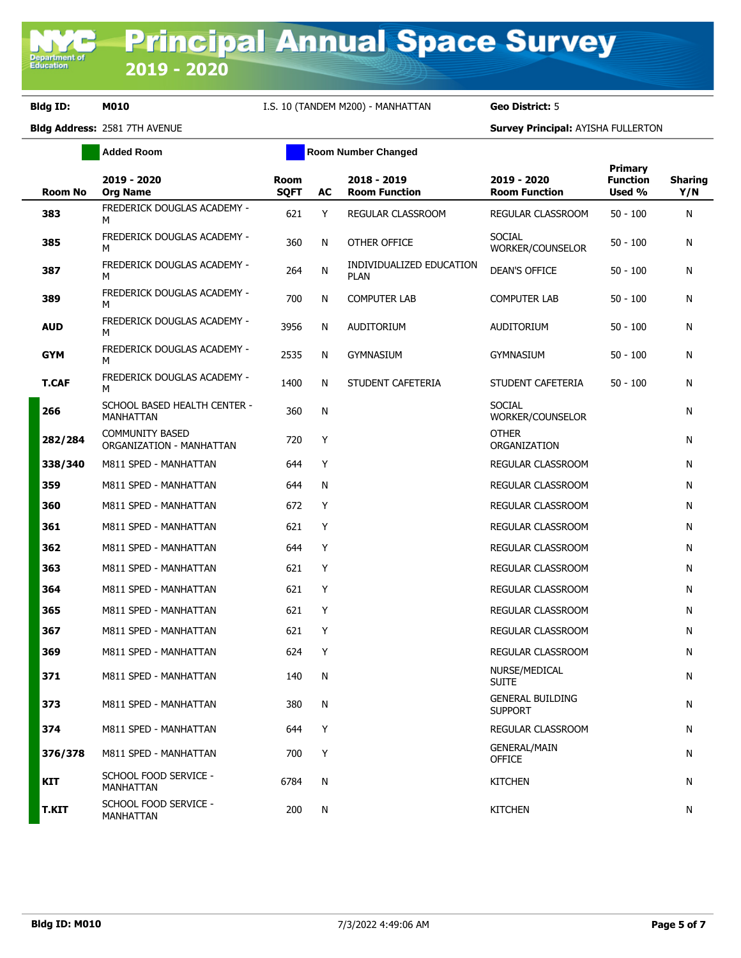**Added Room Room Room Number Changed** 

| <b>Room No</b> | 2019 - 2020<br><b>Org Name</b>                     | <b>Room</b><br><b>SQFT</b> | AC | 2018 - 2019<br><b>Room Function</b>     | 2019 - 2020<br><b>Room Function</b>       | Primary<br><b>Function</b><br>Used % | <b>Sharing</b><br>Y/N |
|----------------|----------------------------------------------------|----------------------------|----|-----------------------------------------|-------------------------------------------|--------------------------------------|-----------------------|
| 383            | FREDERICK DOUGLAS ACADEMY -<br>м                   | 621                        | Y  | REGULAR CLASSROOM                       | REGULAR CLASSROOM                         | $50 - 100$                           | N                     |
| 385            | FREDERICK DOUGLAS ACADEMY -<br>м                   | 360                        | N  | OTHER OFFICE                            | <b>SOCIAL</b><br>WORKER/COUNSELOR         | $50 - 100$                           | N                     |
| 387            | FREDERICK DOUGLAS ACADEMY -<br>м                   | 264                        | Ν  | INDIVIDUALIZED EDUCATION<br><b>PLAN</b> | <b>DEAN'S OFFICE</b>                      | $50 - 100$                           | N                     |
| 389            | FREDERICK DOUGLAS ACADEMY -<br>м                   | 700                        | N  | <b>COMPUTER LAB</b>                     | COMPUTER LAB                              | $50 - 100$                           | N                     |
| <b>AUD</b>     | FREDERICK DOUGLAS ACADEMY -<br>м                   | 3956                       | N  | AUDITORIUM                              | <b>AUDITORIUM</b>                         | $50 - 100$                           | N                     |
| <b>GYM</b>     | FREDERICK DOUGLAS ACADEMY -<br>м                   | 2535                       | N  | <b>GYMNASIUM</b>                        | gymnasium                                 | $50 - 100$                           | N                     |
| <b>T.CAF</b>   | FREDERICK DOUGLAS ACADEMY -<br>м                   | 1400                       | N  | STUDENT CAFETERIA                       | STUDENT CAFETERIA                         | $50 - 100$                           | N                     |
| 266            | SCHOOL BASED HEALTH CENTER -<br>MANHATTAN          | 360                        | N  |                                         | <b>SOCIAL</b><br>WORKER/COUNSELOR         |                                      | N                     |
| 282/284        | <b>COMMUNITY BASED</b><br>ORGANIZATION - MANHATTAN | 720                        | Y  |                                         | <b>OTHER</b><br>ORGANIZATION              |                                      | N                     |
| 338/340        | M811 SPED - MANHATTAN                              | 644                        | Y  |                                         | REGULAR CLASSROOM                         |                                      | N                     |
| 359            | M811 SPED - MANHATTAN                              | 644                        | N  |                                         | REGULAR CLASSROOM                         |                                      | N                     |
| 360            | M811 SPED - MANHATTAN                              | 672                        | Y  |                                         | REGULAR CLASSROOM                         |                                      | N                     |
| 361            | M811 SPED - MANHATTAN                              | 621                        | Y  |                                         | REGULAR CLASSROOM                         |                                      | N                     |
| 362            | M811 SPED - MANHATTAN                              | 644                        | Y  |                                         | REGULAR CLASSROOM                         |                                      | N                     |
| 363            | M811 SPED - MANHATTAN                              | 621                        | Y  |                                         | REGULAR CLASSROOM                         |                                      | N                     |
| 364            | M811 SPED - MANHATTAN                              | 621                        | Y  |                                         | REGULAR CLASSROOM                         |                                      | N                     |
| 365            | M811 SPED - MANHATTAN                              | 621                        | Y  |                                         | REGULAR CLASSROOM                         |                                      | N                     |
| 367            | M811 SPED - MANHATTAN                              | 621                        | Y  |                                         | REGULAR CLASSROOM                         |                                      | N                     |
| 369            | M811 SPED - MANHATTAN                              | 624                        | Y  |                                         | REGULAR CLASSROOM                         |                                      | N                     |
| 371            | M811 SPED - MANHATTAN                              | 140                        | N  |                                         | NURSE/MEDICAL<br><b>SUITE</b>             |                                      | N                     |
| 373            | M811 SPED - MANHATTAN                              | 380                        | N  |                                         | <b>GENERAL BUILDING</b><br><b>SUPPORT</b> |                                      | N                     |
| 374            | M811 SPED - MANHATTAN                              | 644                        | Y  |                                         | <b>REGULAR CLASSROOM</b>                  |                                      | N                     |
| 376/378        | M811 SPED - MANHATTAN                              | 700                        | Y  |                                         | <b>GENERAL/MAIN</b><br><b>OFFICE</b>      |                                      | N                     |
| <b>KIT</b>     | SCHOOL FOOD SERVICE -<br><b>MANHATTAN</b>          | 6784                       | N  |                                         | <b>KITCHEN</b>                            |                                      | N                     |
| <b>T.KIT</b>   | SCHOOL FOOD SERVICE -<br>MANHATTAN                 | 200                        | N  |                                         | <b>KITCHEN</b>                            |                                      | N                     |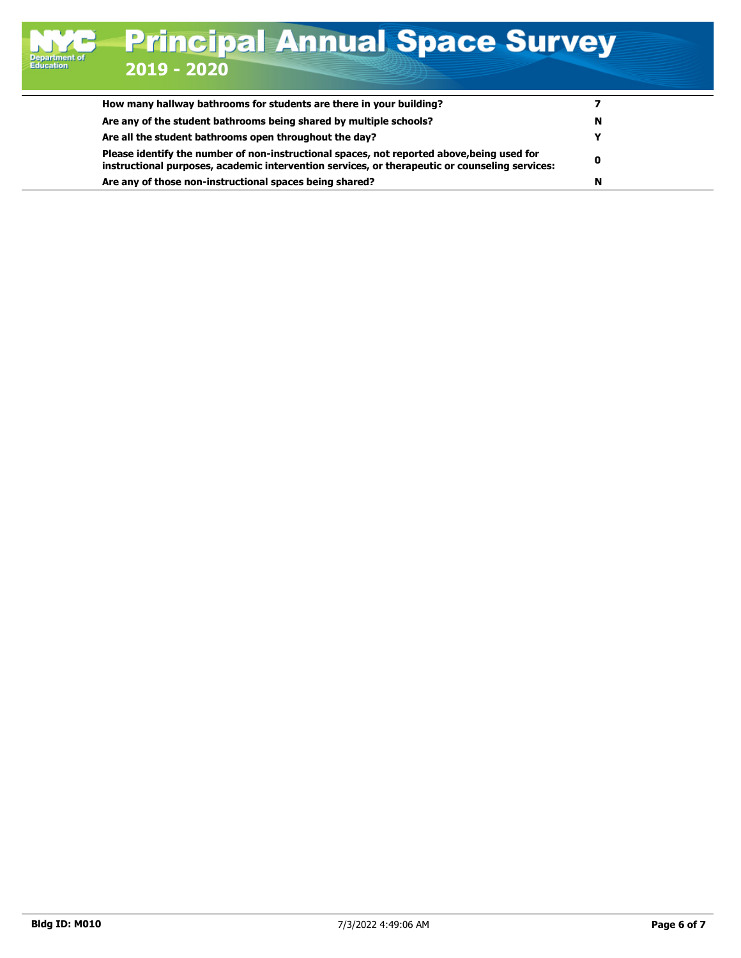| How many hallway bathrooms for students are there in your building?                                                                                                                          |   |  |
|----------------------------------------------------------------------------------------------------------------------------------------------------------------------------------------------|---|--|
| Are any of the student bathrooms being shared by multiple schools?                                                                                                                           | N |  |
| Are all the student bathrooms open throughout the day?                                                                                                                                       |   |  |
| Please identify the number of non-instructional spaces, not reported above, being used for<br>instructional purposes, academic intervention services, or therapeutic or counseling services: | 0 |  |
| Are any of those non-instructional spaces being shared?                                                                                                                                      | N |  |